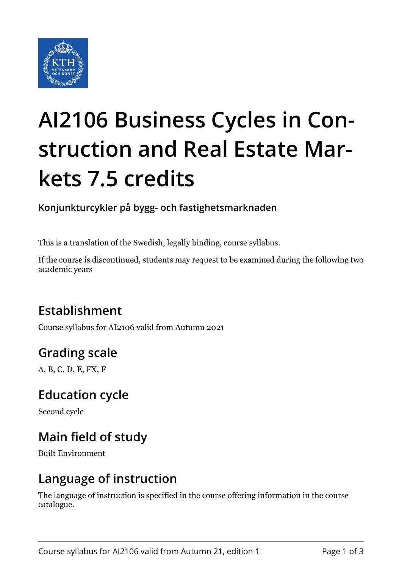

# **AI2106 Business Cycles in Construction and Real Estate Markets 7.5 credits**

**Konjunkturcykler på bygg- och fastighetsmarknaden**

This is a translation of the Swedish, legally binding, course syllabus.

If the course is discontinued, students may request to be examined during the following two academic years

# **Establishment**

Course syllabus for AI2106 valid from Autumn 2021

# **Grading scale**

A, B, C, D, E, FX, F

### **Education cycle**

Second cycle

# **Main field of study**

Built Environment

### **Language of instruction**

The language of instruction is specified in the course offering information in the course catalogue.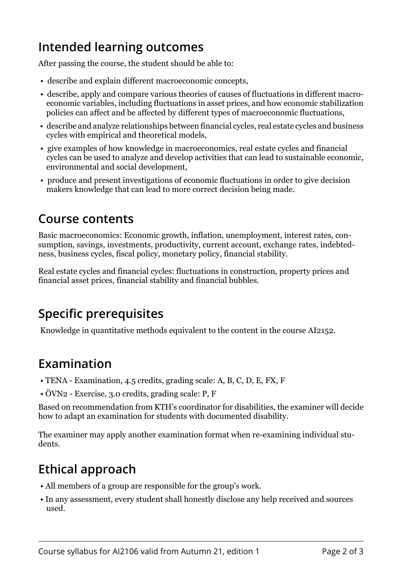## **Intended learning outcomes**

After passing the course, the student should be able to:

- describe and explain different macroeconomic concepts,
- describe, apply and compare various theories of causes of fluctuations in different macroeconomic variables, including fluctuations in asset prices, and how economic stabilization policies can affect and be affected by different types of macroeconomic fluctuations,
- describe and analyze relationships between financial cycles, real estate cycles and business cycles with empirical and theoretical models,
- give examples of how knowledge in macroeconomics, real estate cycles and financial cycles can be used to analyze and develop activities that can lead to sustainable economic, environmental and social development,
- produce and present investigations of economic fluctuations in order to give decision makers knowledge that can lead to more correct decision being made.

### **Course contents**

Basic macroeconomics: Economic growth, inflation, unemployment, interest rates, consumption, savings, investments, productivity, current account, exchange rates, indebtedness, business cycles, fiscal policy, monetary policy, financial stability.

Real estate cycles and financial cycles: fluctuations in construction, property prices and financial asset prices, financial stability and financial bubbles.

# **Specific prerequisites**

Knowledge in quantitative methods equivalent to the content in the course AI2152.

## **Examination**

- TENA Examination, 4.5 credits, grading scale: A, B, C, D, E, FX, F
- ÖVN2 Exercise, 3.0 credits, grading scale: P, F

Based on recommendation from KTH's coordinator for disabilities, the examiner will decide how to adapt an examination for students with documented disability.

The examiner may apply another examination format when re-examining individual students.

# **Ethical approach**

- All members of a group are responsible for the group's work.
- In any assessment, every student shall honestly disclose any help received and sources used.